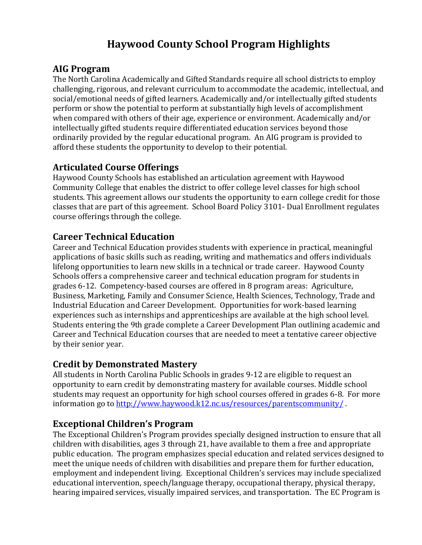# **Haywood County School Program Highlights**

#### **AIG Program**

The North Carolina Academically and Gifted Standards require all school districts to employ challenging, rigorous, and relevant curriculum to accommodate the academic, intellectual, and social/emotional needs of gifted learners. Academically and/or intellectually gifted students perform or show the potential to perform at substantially high levels of accomplishment when compared with others of their age, experience or environment. Academically and/or intellectually gifted students require differentiated education services beyond those ordinarily provided by the regular educational program. An AIG program is provided to afford these students the opportunity to develop to their potential.

# **Articulated Course Offerings**

Haywood County Schools has established an articulation agreement with Haywood Community College that enables the district to offer college level classes for high school students. This agreement allows our students the opportunity to earn college credit for those classes that are part of this agreement. School Board Policy 3101- Dual Enrollment regulates course offerings through the college.

#### **Career Technical Education**

Career and Technical Education provides students with experience in practical, meaningful applications of basic skills such as reading, writing and mathematics and offers individuals lifelong opportunities to learn new skills in a technical or trade career. Haywood County Schools offers a comprehensive career and technical education program for students in grades 6-12. Competency-based courses are offered in 8 program areas: Agriculture, Business, Marketing, Family and Consumer Science, Health Sciences, Technology, Trade and Industrial Education and Career Development. Opportunities for work-based learning experiences such as internships and apprenticeships are available at the high school level. Students entering the 9th grade complete a Career Development Plan outlining academic and Career and Technical Education courses that are needed to meet a tentative career objective by their senior year.

#### **Credit by Demonstrated Mastery**

All students in North Carolina Public Schools in grades 9-12 are eligible to request an opportunity to earn credit by demonstrating mastery for available courses. Middle school students may request an opportunity for high school courses offered in grades 6-8. For more information go to<http://www.haywood.k12.nc.us/resources/parentscommunity/> .

#### **Exceptional Children's Program**

The Exceptional Children's Program provides specially designed instruction to ensure that all children with disabilities, ages 3 through 21, have available to them a free and appropriate public education. The program emphasizes special education and related services designed to meet the unique needs of children with disabilities and prepare them for further education, employment and independent living. Exceptional Children's services may include specialized educational intervention, speech/language therapy, occupational therapy, physical therapy, hearing impaired services, visually impaired services, and transportation. The EC Program is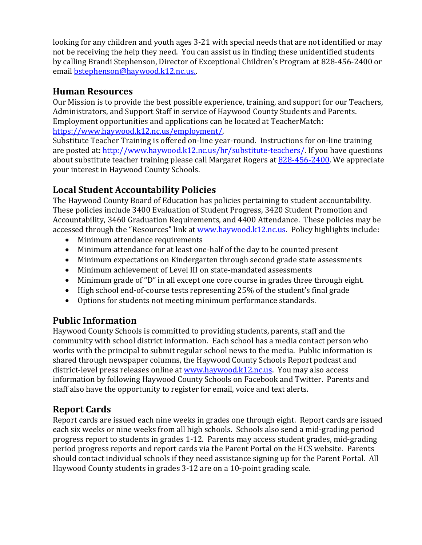looking for any children and youth ages 3-21 with special needs that are not identified or may not be receiving the help they need. You can assist us in finding these unidentified students by calling Brandi Stephenson, Director of Exceptional Children's Program at 828-456-2400 or email bstephenson@haywood.k12.nc.us.

#### **Human Resources**

Our Mission is to provide the best possible experience, training, and support for our Teachers, Administrators, and Support Staff in service of Haywood County Students and Parents. Employment opportunities and applications can be located at TeacherMatch: [https://www.haywood.k12.nc.us/employment/.](https://www.haywood.k12.nc.us/employment/)

Substitute Teacher Training is offered on-line year-round. Instructions for on-line training are posted at: [http://www.haywood.k12.nc.us/hr/substitute-teachers/.](http://www.haywood.k12.nc.us/hr/substitute-teachers/) If you have questions about substitute teacher training please call Margaret Rogers at [828-456-2400.](tel:(828)%20456-2400) We appreciate your interest in Haywood County Schools.

# **Local Student Accountability Policies**

The Haywood County Board of Education has policies pertaining to student accountability. These policies include 3400 Evaluation of Student Progress, 3420 Student Promotion and Accountability, 3460 Graduation Requirements, and 4400 Attendance. These policies may be accessed through the "Resources" link at [www.haywood.k12.nc.us.](file://///haywood.local/shared/CO/Faculty/Julie/J.%20Barker/Mountaineer%20Newspaper%20Annual%20Insert/2017-2018/www.haywood.k12.nc.us) Policy highlights include:

- Minimum attendance requirements
- Minimum attendance for at least one-half of the day to be counted present
- Minimum expectations on Kindergarten through second grade state assessments
- Minimum achievement of Level III on state-mandated assessments
- Minimum grade of "D" in all except one core course in grades three through eight.
- High school end-of-course tests representing 25% of the student's final grade
- Options for students not meeting minimum performance standards.

# **Public Information**

Haywood County Schools is committed to providing students, parents, staff and the community with school district information. Each school has a media contact person who works with the principal to submit regular school news to the media. Public information is shared through newspaper columns, the Haywood County Schools Report podcast and district-level press releases online a[t www.haywood.k12.nc.us.](file://///haywood.local/shared/CO/Faculty/Public%20Information%202017-18/www.haywood.k12.nc.us) You may also access information by following Haywood County Schools on Facebook and Twitter. Parents and staff also have the opportunity to register for email, voice and text alerts.

# **Report Cards**

Report cards are issued each nine weeks in grades one through eight. Report cards are issued each six weeks or nine weeks from all high schools. Schools also send a mid-grading period progress report to students in grades 1-12. Parents may access student grades, mid-grading period progress reports and report cards via the Parent Portal on the HCS website. Parents should contact individual schools if they need assistance signing up for the Parent Portal. All Haywood County students in grades 3-12 are on a 10-point grading scale.